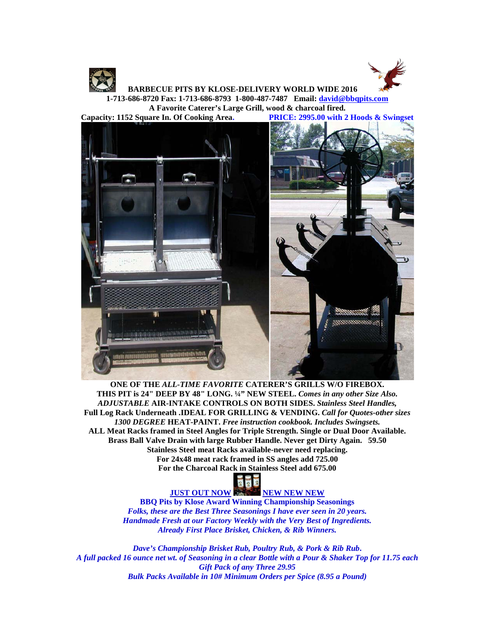



 **BARBECUE PITS BY KLOSE-DELIVERY WORLD WIDE 2016 1-713-686-8720 Fax: 1-713-686-8793 1-800-487-7487 Email: [david@bbqpits.com](mailto:david@bbqpits.com)**

**A Favorite Caterer's Large Grill, wood & charcoal fired.**

**Capacity: 1152 Square In. Of Cooking Area. PRICE: 2995.00 with 2 Hoods & Swingset**



**ONE OF THE** *ALL-TIME FAVORITE* **CATERER'S GRILLS W/O FIREBOX. THIS PIT is 24" DEEP BY 48" LONG. ¼" NEW STEEL.** *Comes in any other Size Also. ADJUSTABLE* **AIR-INTAKE CONTROLS ON BOTH SIDES.** *Stainless Steel Handles,* **Full Log Rack Underneath .IDEAL FOR GRILLING & VENDING.** *Call for Quotes-other sizes 1300 DEGREE* **HEAT-PAINT.** *Free instruction cookbook. Includes Swingsets.* **ALL Meat Racks framed in Steel Angles for Triple Strength. Single or Dual Door Available. Brass Ball Valve Drain with large Rubber Handle. Never get Dirty Again. 59.50 Stainless Steel meat Racks available-never need replacing. For 24x48 meat rack framed in SS angles add 725.00 For the Charcoal Rack in Stainless Steel add 675.00**



**JUST OUT NOW NEW NEW NEW NEW** 

**BBQ Pits by Klose Award Winning Championship Seasonings** *Folks, these are the Best Three Seasonings I have ever seen in 20 years. Handmade Fresh at our Factory Weekly with the Very Best of Ingredients. Already First Place Brisket, Chicken, & Rib Winners.*

*Dave's Championship Brisket Rub, Poultry Rub, & Pork & Rib Rub***.** *A full packed 16 ounce net wt. of Seasoning in a clear Bottle with a Pour & Shaker Top for 11.75 each Gift Pack of any Three 29.95 Bulk Packs Available in 10# Minimum Orders per Spice (8.95 a Pound)*